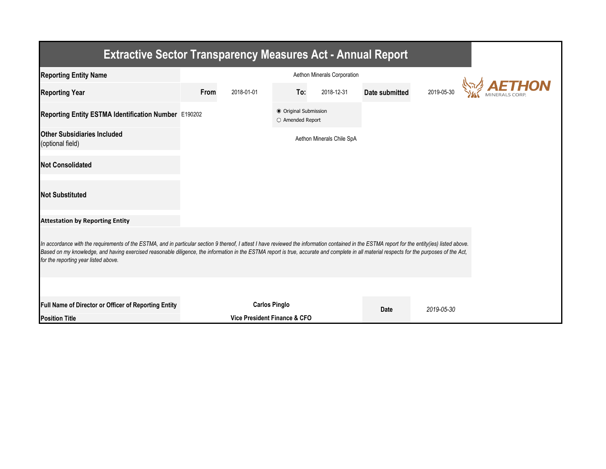| <b>Extractive Sector Transparency Measures Act - Annual Report</b>                                                                                                                                                                                                                                                                                                                                                                    |      |                                                      |                                           |                             |                |            |               |  |  |  |  |
|---------------------------------------------------------------------------------------------------------------------------------------------------------------------------------------------------------------------------------------------------------------------------------------------------------------------------------------------------------------------------------------------------------------------------------------|------|------------------------------------------------------|-------------------------------------------|-----------------------------|----------------|------------|---------------|--|--|--|--|
| <b>Reporting Entity Name</b>                                                                                                                                                                                                                                                                                                                                                                                                          |      |                                                      |                                           | Aethon Minerals Corporation |                |            |               |  |  |  |  |
| <b>Reporting Year</b>                                                                                                                                                                                                                                                                                                                                                                                                                 | From | 2018-01-01                                           | To:                                       | 2018-12-31                  | Date submitted | 2019-05-30 | <b>AETHON</b> |  |  |  |  |
| Reporting Entity ESTMA Identification Number E190202                                                                                                                                                                                                                                                                                                                                                                                  |      |                                                      | ● Original Submission<br>O Amended Report |                             |                |            |               |  |  |  |  |
| <b>Other Subsidiaries Included</b><br>(optional field)                                                                                                                                                                                                                                                                                                                                                                                |      |                                                      |                                           | Aethon Minerals Chile SpA   |                |            |               |  |  |  |  |
| <b>Not Consolidated</b>                                                                                                                                                                                                                                                                                                                                                                                                               |      |                                                      |                                           |                             |                |            |               |  |  |  |  |
| <b>Not Substituted</b>                                                                                                                                                                                                                                                                                                                                                                                                                |      |                                                      |                                           |                             |                |            |               |  |  |  |  |
| <b>Attestation by Reporting Entity</b>                                                                                                                                                                                                                                                                                                                                                                                                |      |                                                      |                                           |                             |                |            |               |  |  |  |  |
| In accordance with the requirements of the ESTMA, and in particular section 9 thereof, I attest I have reviewed the information contained in the ESTMA report for the entity(ies) listed above.<br>Based on my knowledge, and having exercised reasonable diligence, the information in the ESTMA report is true, accurate and complete in all material respects for the purposes of the Act,<br>for the reporting year listed above. |      |                                                      |                                           |                             |                |            |               |  |  |  |  |
|                                                                                                                                                                                                                                                                                                                                                                                                                                       |      |                                                      |                                           |                             |                |            |               |  |  |  |  |
| Full Name of Director or Officer of Reporting Entity<br><b>Position Title</b>                                                                                                                                                                                                                                                                                                                                                         |      | <b>Carlos Pinglo</b><br>Vice President Finance & CFO |                                           |                             | <b>Date</b>    | 2019-05-30 |               |  |  |  |  |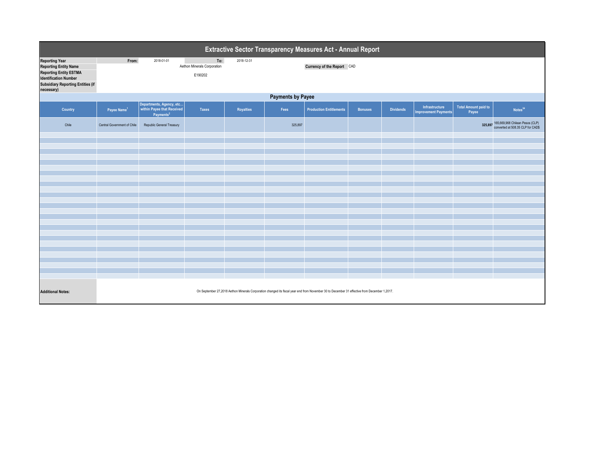| Extractive Sector Transparency Measures Act - Annual Report                                                                                                                      |                                                                                                                                              |                                                                                 |                                               |            |         |                                |                |                  |                                               |                                      |                                                                      |  |
|----------------------------------------------------------------------------------------------------------------------------------------------------------------------------------|----------------------------------------------------------------------------------------------------------------------------------------------|---------------------------------------------------------------------------------|-----------------------------------------------|------------|---------|--------------------------------|----------------|------------------|-----------------------------------------------|--------------------------------------|----------------------------------------------------------------------|--|
| <b>Reporting Year</b><br><b>Reporting Entity Name</b><br><b>Reporting Entity ESTMA</b><br><b>Identification Number</b><br><b>Subsidiary Reporting Entities (if</b><br>necessary) | From:                                                                                                                                        | 2018-01-01                                                                      | To:<br>Aethon Minerals Corporation<br>E190202 | 2018-12-31 |         | Currency of the Report CAD     |                |                  |                                               |                                      |                                                                      |  |
|                                                                                                                                                                                  | <b>Payments by Payee</b>                                                                                                                     |                                                                                 |                                               |            |         |                                |                |                  |                                               |                                      |                                                                      |  |
| Country                                                                                                                                                                          | Payee Name <sup>1</sup>                                                                                                                      | Departments, Agency, etc<br>within Payee that Received<br>Payments <sup>2</sup> | <b>Taxes</b>                                  | Royalties  | Fees    | <b>Production Entitlements</b> | <b>Bonuses</b> | <b>Dividends</b> | Infrastructure<br><b>Improvement Payments</b> | <b>Total Amount paid to</b><br>Payee | Notes <sup>34</sup>                                                  |  |
| Chile                                                                                                                                                                            | Central Government of Chile                                                                                                                  | Republic General Treasury                                                       |                                               |            | 325,897 |                                |                |                  |                                               | 325.897                              | 165,669,968 Chilean Pesos (CLP)<br>converted at 508.35 CLP for CAD\$ |  |
|                                                                                                                                                                                  |                                                                                                                                              |                                                                                 |                                               |            |         |                                |                |                  |                                               |                                      |                                                                      |  |
|                                                                                                                                                                                  |                                                                                                                                              |                                                                                 |                                               |            |         |                                |                |                  |                                               |                                      |                                                                      |  |
|                                                                                                                                                                                  |                                                                                                                                              |                                                                                 |                                               |            |         |                                |                |                  |                                               |                                      |                                                                      |  |
|                                                                                                                                                                                  |                                                                                                                                              |                                                                                 |                                               |            |         |                                |                |                  |                                               |                                      |                                                                      |  |
|                                                                                                                                                                                  |                                                                                                                                              |                                                                                 |                                               |            |         |                                |                |                  |                                               |                                      |                                                                      |  |
|                                                                                                                                                                                  |                                                                                                                                              |                                                                                 |                                               |            |         |                                |                |                  |                                               |                                      |                                                                      |  |
|                                                                                                                                                                                  |                                                                                                                                              |                                                                                 |                                               |            |         |                                |                |                  |                                               |                                      |                                                                      |  |
|                                                                                                                                                                                  |                                                                                                                                              |                                                                                 |                                               |            |         |                                |                |                  |                                               |                                      |                                                                      |  |
|                                                                                                                                                                                  |                                                                                                                                              |                                                                                 |                                               |            |         |                                |                |                  |                                               |                                      |                                                                      |  |
|                                                                                                                                                                                  |                                                                                                                                              |                                                                                 |                                               |            |         |                                |                |                  |                                               |                                      |                                                                      |  |
|                                                                                                                                                                                  |                                                                                                                                              |                                                                                 |                                               |            |         |                                |                |                  |                                               |                                      |                                                                      |  |
|                                                                                                                                                                                  |                                                                                                                                              |                                                                                 |                                               |            |         |                                |                |                  |                                               |                                      |                                                                      |  |
|                                                                                                                                                                                  |                                                                                                                                              |                                                                                 |                                               |            |         |                                |                |                  |                                               |                                      |                                                                      |  |
|                                                                                                                                                                                  |                                                                                                                                              |                                                                                 |                                               |            |         |                                |                |                  |                                               |                                      |                                                                      |  |
|                                                                                                                                                                                  |                                                                                                                                              |                                                                                 |                                               |            |         |                                |                |                  |                                               |                                      |                                                                      |  |
|                                                                                                                                                                                  |                                                                                                                                              |                                                                                 |                                               |            |         |                                |                |                  |                                               |                                      |                                                                      |  |
|                                                                                                                                                                                  |                                                                                                                                              |                                                                                 |                                               |            |         |                                |                |                  |                                               |                                      |                                                                      |  |
| <b>Additional Notes:</b>                                                                                                                                                         | On September 27,2018 Aethon Minerals Corporation changed its fiscal year end from November 30 to December 31 effective from December 1,2017. |                                                                                 |                                               |            |         |                                |                |                  |                                               |                                      |                                                                      |  |